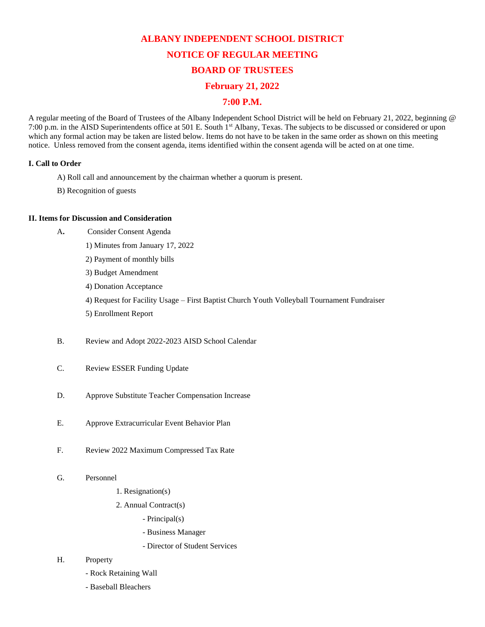# **ALBANY INDEPENDENT SCHOOL DISTRICT NOTICE OF REGULAR MEETING BOARD OF TRUSTEES**

# **February 21, 2022**

# **7:00 P.M.**

A regular meeting of the Board of Trustees of the Albany Independent School District will be held on February 21, 2022, beginning @ 7:00 p.m. in the AISD Superintendents office at 501 E. South 1st Albany, Texas. The subjects to be discussed or considered or upon which any formal action may be taken are listed below. Items do not have to be taken in the same order as shown on this meeting notice. Unless removed from the consent agenda, items identified within the consent agenda will be acted on at one time.

## **I. Call to Order**

- A) Roll call and announcement by the chairman whether a quorum is present.
- B) Recognition of guests

## **II. Items for Discussion and Consideration**

- A**.** Consider Consent Agenda
	- 1) Minutes from January 17, 202[2](http://www.albany.esc14.net/users/Board%20Packets/2011-2012/January%202012/December%2019,%202011.pdf)
	- 2) Payment of monthly bills
	- 3) Budget Amendment
	- 4) Donation Acceptance

4) Request for Facility Usage – First Baptist Church Youth Volleyball Tournament Fundraiser

- 5) Enrollment Report
- B. Review and Adopt 2022-2023 AISD School Calendar
- C. Review ESSER Funding Update
- D. Approve Substitute Teacher Compensation Increase
- E. Approve Extracurricular Event Behavior Plan
- F. Review 2022 Maximum Compressed Tax Rate
- G. Personnel
	- 1. Resignation(s)
	- 2. Annual Contract(s)
		- Principal(s)
		- Business Manager
		- Director of Student Services

#### H. Property

- Rock Retaining Wall
- Baseball Bleachers